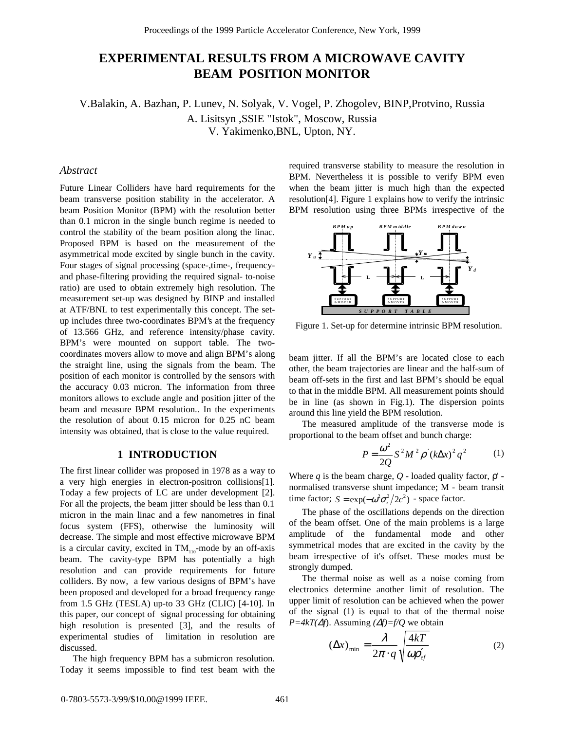# **EXPERIMENTAL RESULTS FROM A MICROWAVE CAVITY BEAM POSITION MONITOR**

V.Balakin, A. Bazhan, P. Lunev, N. Solyak, V. Vogel, P. Zhogolev, BINP,Protvino, Russia A. Lisitsyn ,SSIE "Istok", Moscow, Russia V. Yakimenko,BNL, Upton, NY.

### *Abstract*

Future Linear Colliders have hard requirements for the beam transverse position stability in the accelerator. A beam Position Monitor (BPM) with the resolution better than 0.1 micron in the single bunch regime is needed to control the stability of the beam position along the linac. Proposed BPM is based on the measurement of the asymmetrical mode excited by single bunch in the cavity. Four stages of signal processing (space-,time-, frequencyand phase-filtering providing the required signal- to-noise ratio) are used to obtain extremely high resolution. The measurement set-up was designed by BINP and installed at ATF/BNL to test experimentally this concept. The setup includes three two-coordinates BPM's at the frequency of 13.566 GHz, and reference intensity/phase cavity. BPM's were mounted on support table. The twocoordinates movers allow to move and align BPM's along the straight line, using the signals from the beam. The position of each monitor is controlled by the sensors with the accuracy 0.03 micron. The information from three monitors allows to exclude angle and position jitter of the beam and measure BPM resolution.. In the experiments the resolution of about 0.15 micron for 0.25 nC beam intensity was obtained, that is close to the value required.

### **1 INTRODUCTION**

The first linear collider was proposed in 1978 as a way to a very high energies in electron-positron collisions[1]. Today a few projects of LC are under development [2]. For all the projects, the beam jitter should be less than 0.1 micron in the main linac and a few nanometres in final focus system (FFS), otherwise the luminosity will decrease. The simple and most effective microwave BPM is a circular cavity, excited in  $TM_{110}$ -mode by an off-axis beam. The cavity-type BPM has potentially a high resolution and can provide requirements for future colliders. By now, a few various designs of BPM's have been proposed and developed for a broad frequency range from 1.5 GHz (TESLA) up-to 33 GHz (CLIC) [4-10]. In this paper, our concept of signal processing for obtaining high resolution is presented [3], and the results of experimental studies of limitation in resolution are discussed.

The high frequency BPM has a submicron resolution. Today it seems impossible to find test beam with the required transverse stability to measure the resolution in BPM. Nevertheless it is possible to verify BPM even when the beam jitter is much high than the expected resolution[4]. Figure 1 explains how to verify the intrinsic BPM resolution using three BPMs irrespective of the



Figure 1. Set-up for determine intrinsic BPM resolution.

beam jitter. If all the BPM's are located close to each other, the beam trajectories are linear and the half-sum of beam off-sets in the first and last BPM's should be equal to that in the middle BPM. All measurement points should be in line (as shown in Fig.1). The dispersion points around this line yield the BPM resolution.

The measured amplitude of the transverse mode is proportional to the beam offset and bunch charge:

$$
P = \frac{\omega^2}{2Q} S^2 M^2 \rho (k \Delta x)^2 q^2
$$
 (1)

Where  $q$  is the beam charge,  $Q$  - loaded quality factor,  $p'$  normalised transverse shunt impedance; M - beam transit time factor;  $S = \exp(-\omega^2 \sigma_z^2 / 2c^2)$  - space factor.

The phase of the oscillations depends on the direction of the beam offset. One of the main problems is a large amplitude of the fundamental mode and other symmetrical modes that are excited in the cavity by the beam irrespective of it's offset. These modes must be strongly dumped.

The thermal noise as well as a noise coming from electronics determine another limit of resolution. The upper limit of resolution can be achieved when the power of the signal (1) is equal to that of the thermal noise *P=4kT(*∆*f*). Assuming *(*∆*f)=f/Q* we obtain

$$
\left(\Delta x\right)_{\min} = \frac{\lambda}{2\pi \cdot q} \sqrt{\frac{4kT}{\omega \rho_{ef}'}}
$$
 (2)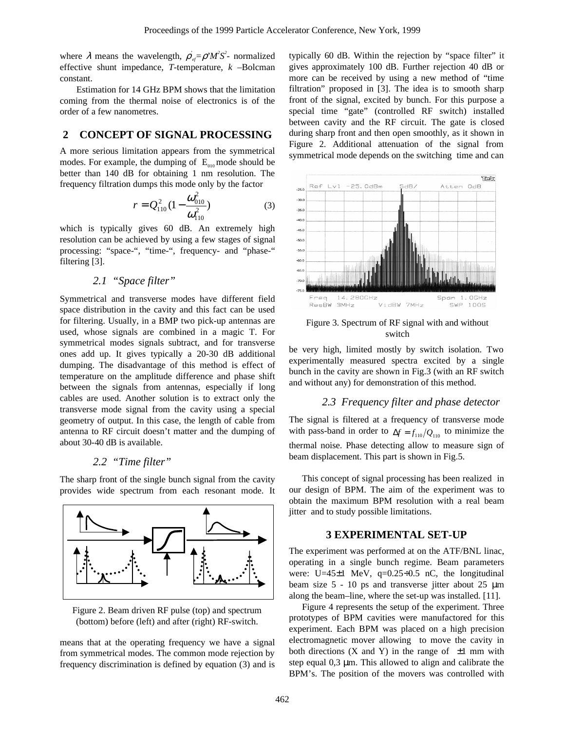where  $\lambda$  means the wavelength,  $\rho_{ef} = \rho' M^2 S^2$ - normalized effective shunt impedance, *T*-temperature, *k* –Bolcman constant.

Estimation for 14 GHz BPM shows that the limitation coming from the thermal noise of electronics is of the order of a few nanometres.

# **2 CONCEPT OF SIGNAL PROCESSING**

A more serious limitation appears from the symmetrical modes. For example, the dumping of  $E_{010}$  mode should be better than 140 dB for obtaining 1 nm resolution. The frequency filtration dumps this mode only by the factor

$$
r = Q_{110}^2 (1 - \frac{\omega_{010}^2}{\omega_{110}^2})
$$
 (3)

which is typically gives 60 dB. An extremely high resolution can be achieved by using a few stages of signal processing: "space-", "time-", frequency- and "phase-" filtering [3].

# *2.1 "Space filter"*

Symmetrical and transverse modes have different field space distribution in the cavity and this fact can be used for filtering. Usually, in a BMP two pick-up antennas are used, whose signals are combined in a magic T. For symmetrical modes signals subtract, and for transverse ones add up. It gives typically a 20-30 dB additional dumping. The disadvantage of this method is effect of temperature on the amplitude difference and phase shift between the signals from antennas, especially if long cables are used. Another solution is to extract only the transverse mode signal from the cavity using a special geometry of output. In this case, the length of cable from antenna to RF circuit doesn't matter and the dumping of about 30-40 dB is available.

# *2.2 "Time filter"*

The sharp front of the single bunch signal from the cavity provides wide spectrum from each resonant mode. It



Figure 2. Beam driven RF pulse (top) and spectrum (bottom) before (left) and after (right) RF-switch.

means that at the operating frequency we have a signal from symmetrical modes. The common mode rejection by frequency discrimination is defined by equation (3) and is typically 60 dB. Within the rejection by "space filter" it gives approximately 100 dB. Further rejection 40 dB or more can be received by using a new method of "time filtration" proposed in [3]. The idea is to smooth sharp front of the signal, excited by bunch. For this purpose a special time "gate" (controlled RF switch) installed between cavity and the RF circuit. The gate is closed during sharp front and then open smoothly, as it shown in Figure 2. Additional attenuation of the signal from symmetrical mode depends on the switching time and can



Figure 3. Spectrum of RF signal with and without switch

be very high, limited mostly by switch isolation. Two experimentally measured spectra excited by a single bunch in the cavity are shown in Fig.3 (with an RF switch and without any) for demonstration of this method.

#### *2.3 Frequency filter and phase detector*

The signal is filtered at a frequency of transverse mode with pass-band in order to  $\Delta f = f_{110}/Q_{110}$  to minimize the thermal noise. Phase detecting allow to measure sign of beam displacement. This part is shown in Fig.5.

This concept of signal processing has been realized in our design of BPM. The aim of the experiment was to obtain the maximum BPM resolution with a real beam jitter and to study possible limitations.

#### **3 EXPERIMENTAL SET-UP**

The experiment was performed at on the ATF/BNL linac, operating in a single bunch regime. Beam parameters were: U=45±1 MeV, q=0.25÷0.5 nC, the longitudinal beam size  $5 - 10$  ps and transverse jitter about  $25 \mu m$ along the beam–line, where the set-up was installed. [11].

Figure 4 represents the setup of the experiment. Three prototypes of BPM cavities were manufactored for this experiment. Each BPM was placed on a high precision electromagnetic mover allowing to move the cavity in both directions (X and Y) in the range of  $\pm 1$  mm with step equal 0,3 µm. This allowed to align and calibrate the BPM's. The position of the movers was controlled with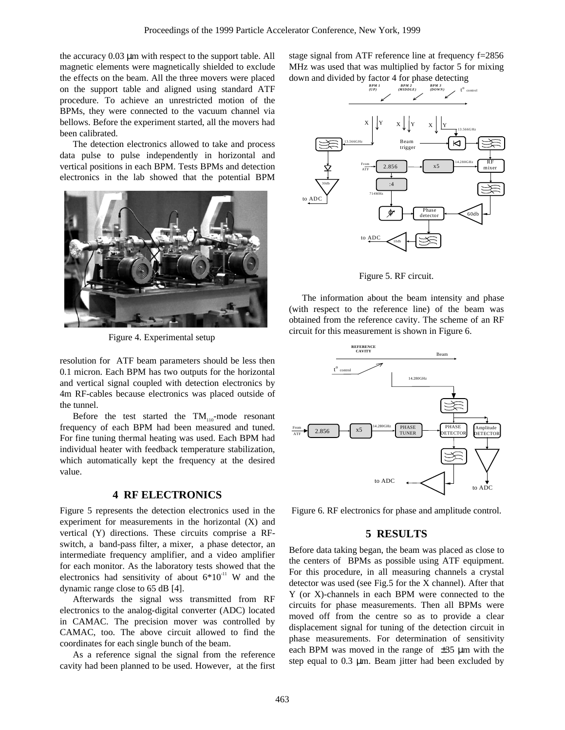the accuracy 0.03 µm with respect to the support table. All magnetic elements were magnetically shielded to exclude the effects on the beam. All the three movers were placed on the support table and aligned using standard ATF procedure. To achieve an unrestricted motion of the BPMs, they were connected to the vacuum channel via bellows. Before the experiment started, all the movers had been calibrated.

The detection electronics allowed to take and process data pulse to pulse independently in horizontal and vertical positions in each BPM. Tests BPMs and detection electronics in the lab showed that the potential BPM



Figure 4. Experimental setup

resolution for ATF beam parameters should be less then 0.1 micron. Each BPM has two outputs for the horizontal and vertical signal coupled with detection electronics by 4m RF-cables because electronics was placed outside of the tunnel.

Before the test started the  $TM_{110}$ -mode resonant frequency of each BPM had been measured and tuned. For fine tuning thermal heating was used. Each BPM had individual heater with feedback temperature stabilization, which automatically kept the frequency at the desired value.

# **4 RF ELECTRONICS**

Figure 5 represents the detection electronics used in the experiment for measurements in the horizontal (X) and vertical (Y) directions. These circuits comprise a RFswitch, a band-pass filter, a mixer, a phase detector, an intermediate frequency amplifier, and a video amplifier for each monitor. As the laboratory tests showed that the electronics had sensitivity of about  $6*10^{-11}$  W and the dynamic range close to 65 dB [4].

Afterwards the signal wss transmitted from RF electronics to the analog-digital converter (ADC) located in CAMAC. The precision mover was controlled by CAMAC, too. The above circuit allowed to find the coordinates for each single bunch of the beam.

As a reference signal the signal from the reference cavity had been planned to be used. However, at the first

stage signal from ATF reference line at frequency f=2856 MHz was used that was multiplied by factor 5 for mixing down and divided by factor 4 for phase detecting



Figure 5. RF circuit.

The information about the beam intensity and phase (with respect to the reference line) of the beam was obtained from the reference cavity. The scheme of an RF circuit for this measurement is shown in Figure 6.



Figure 6. RF electronics for phase and amplitude control.

### **5 RESULTS**

Before data taking began, the beam was placed as close to the centers of BPMs as possible using ATF equipment. For this procedure, in all measuring channels a crystal detector was used (see Fig.5 for the X channel). After that Y (or X)-channels in each BPM were connected to the circuits for phase measurements. Then all BPMs were moved off from the centre so as to provide a clear displacement signal for tuning of the detection circuit in phase measurements. For determination of sensitivity each BPM was moved in the range of  $\pm 35$  µm with the step equal to 0.3 µm. Beam jitter had been excluded by